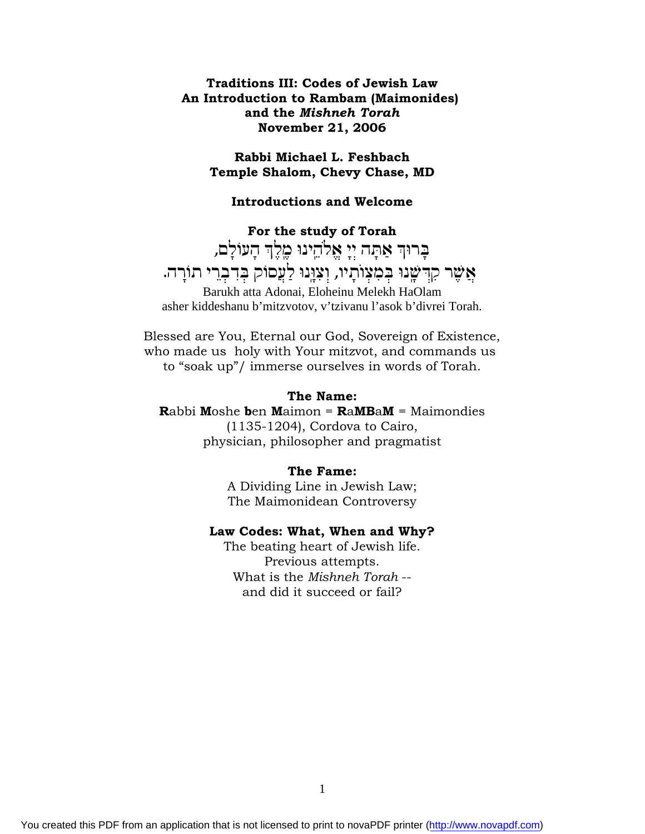## **Traditions III: Codes of Jewish Law An Introduction to Rambam (Maimonides) and the** *Mishneh Torah* **November 21, 2006**

## **Rabbi Michael L. Feshbach Temple Shalom, Chevy Chase, MD**

## **Introductions and Welcome**

## **For the study of Torah** בְרוּךְ אַתָּה יִיָ אֱלֹהֵינוּ כֵוְלֶךְ הָעוֹלָם, אֲשֶׁר קִדִּשָּׂנוּ בְּמִצְוֹתָיו, וְצִוֳּנוּ לַעֲסוֹק בִּדִבְרֵי תוֹרָה.

Barukh atta Adonai, Eloheinu Melekh HaOlam asher kiddeshanu b'mitzvotov, v'tzivanu l'asok b'divrei Torah.

Blessed are You, Eternal our God, Sovereign of Existence, who made us holy with Your mitzvot, and commands us to "soak up"/ immerse ourselves in words of Torah.

## **The Name:**

**R**abbi **M**oshe **b**en **M**aimon = **R**a**MB**a**M** = Maimondies (1135-1204), Cordova to Cairo, physician, philosopher and pragmatist

## **The Fame:**

A Dividing Line in Jewish Law; The Maimonidean Controversy

#### **Law Codes: What, When and Why?**

The beating heart of Jewish life. Previous attempts. What is the *Mishneh Torah* - and did it succeed or fail?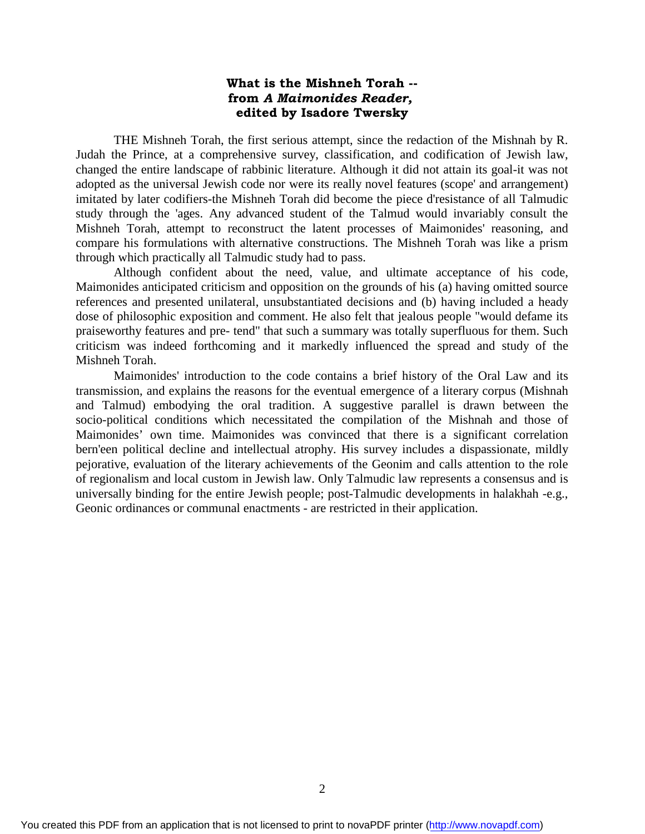## **What is the Mishneh Torah - from** *A Maimonides Reader,*  **edited by Isadore Twersky**

THE Mishneh Torah, the first serious attempt, since the redaction of the Mishnah by R. Judah the Prince, at a comprehensive survey, classification, and codification of Jewish law, changed the entire landscape of rabbinic literature. Although it did not attain its goal-it was not adopted as the universal Jewish code nor were its really novel features (scope' and arrangement) imitated by later codifiers-the Mishneh Torah did become the piece d'resistance of all Talmudic study through the 'ages. Any advanced student of the Talmud would invariably consult the Mishneh Torah, attempt to reconstruct the latent processes of Maimonides' reasoning, and compare his formulations with alternative constructions. The Mishneh Torah was like a prism through which practically all Talmudic study had to pass.

Although confident about the need, value, and ultimate acceptance of his code, Maimonides anticipated criticism and opposition on the grounds of his (a) having omitted source references and presented unilateral, unsubstantiated decisions and (b) having included a heady dose of philosophic exposition and comment. He also felt that jealous people "would defame its praiseworthy features and pre- tend" that such a summary was totally superfluous for them. Such criticism was indeed forthcoming and it markedly influenced the spread and study of the Mishneh Torah.

Maimonides' introduction to the code contains a brief history of the Oral Law and its transmission, and explains the reasons for the eventual emergence of a literary corpus (Mishnah and Talmud) embodying the oral tradition. A suggestive parallel is drawn between the socio-political conditions which necessitated the compilation of the Mishnah and those of Maimonides' own time. Maimonides was convinced that there is a significant correlation bern'een political decline and intellectual atrophy. His survey includes a dispassionate, mildly pejorative, evaluation of the literary achievements of the Geonim and calls attention to the role of regionalism and local custom in Jewish law. Only Talmudic law represents a consensus and is universally binding for the entire Jewish people; post-Talmudic developments in halakhah -e.g., Geonic ordinances or communal enactments - are restricted in their application.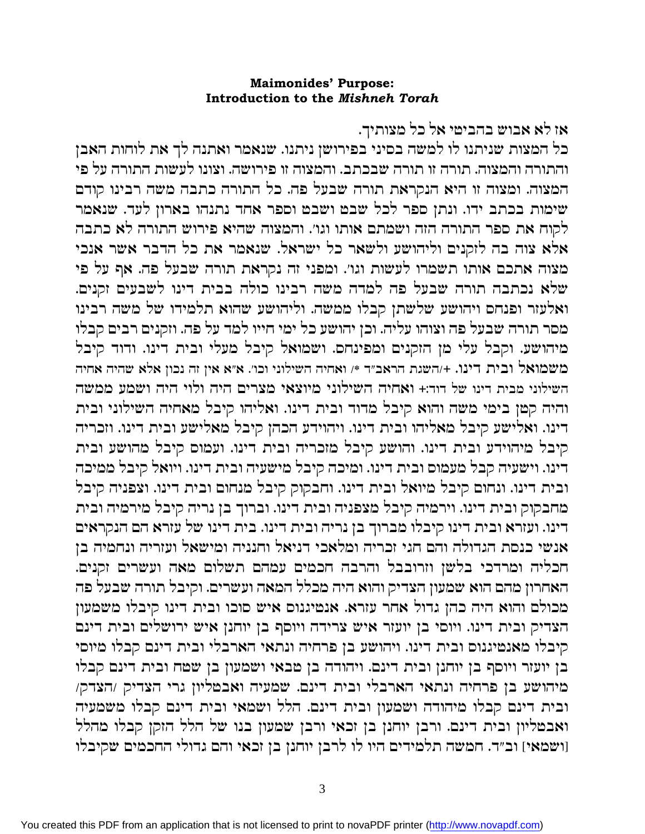## **Maimonides' Purpose:** Introduction to the Mishneh Torah

אז לא אבוש בהביטי אל כל מצותיך.

כל המצות שניתנו לו למשה בסיני בפירושן ניתנו. שנאמר ואתנה לך את לוחות האבן והתורה והמצוה. תורה זו תורה שבכתב. והמצוה זו פירושה. וצונו לעשות התורה על פי המצוה. ומצוה זו היא הנקראת תורה שבעל פה. כל התורה כתבה משה רבינו קודם שימות בכתב ידו. ונתן ספר לכל שבט ושבט וספר אחד נתנהו בארון לעד. שנאמר לקוח את ספר התורה הזה ושמתם אותו וגו׳. והמצוה שהיא פירוש התורה לא כתבה אלא צוה בה לזקנים וליהושע ולשאר כל ישראל. שנאמר את כל הדבר אשר אנכי מצוה אתכם אותו תשמרו לעשות וגו׳. ומפני זה נקראת תורה שבעל פה. אף על פי שלא נכתבה תורה שבעל פה למדה משה רבינו כולה בבית דינו לשבעים זקנים. ואלעזר ופנחם ויהושע שלשתן קבלו ממשה. וליהושע שהוא תלמידו של משה רבינו מסר תורה שבעל פה וצוהו עליה. וכן יהושע כל ימי חייו למד על פה. וזקנים רבים קבלו מיהושע. וקבל עלי מן הזקנים ומפינהם. ושמואל קיבל מעלי ובית דינו. ודוד קיבל משמואל ובית דינו. +/השגת הראב״ד \*/ ואחיה השילוני וכו׳. א״א אין זה נכון אלא שהיה אחיה השילוני מבית דינו של דוד:+ ואחיה השילוני מיוצאי מצרים היה ולוי היה ושמע ממשה והיה קטן בימי משה והוא קיבל מדוד ובית דינו. ואליהו קיבל מאחיה השילוני ובית דינו. ואלישע קיבל מאליהו ובית דינו. ויהוידע הכהן קיבל מאלישע ובית דינו. וזכריה קיבל מיהוידע ובית דינו. והושע קיבל מזכריה ובית דינו. ועמום קיבל מהושע ובית דינו. וישעיה קבל מעמום ובית דינו. ומיכה קיבל מישעיה ובית דינו. ויואל קיבל ממיכה ובית דינו. ונחום קיבל מיואל ובית דינו. וחבקוק קיבל מנחום ובית דינו. וצפניה קיבל מחבקוק ובית דינו. וירמיה קיבל מצפניה ובית דינו. וברוך בן נריה קיבל מירמיה ובית דינו. ועזרא ובית דינו קיבלו מברוך בן נריה ובית דינו. בית דינו של עזרא הם הנקראים אנשי כנסת הגדולה והם חגי זכריה ומלאכי דניאל וחנניה ומישאל ועזריה ונחמיה בן הכליה ומרדכי בלשן וזרובבל והרבה חכמים עמהם תשלום מאה ועשרים זקנים. האחרון מהם הוא שמעון הצדיק והוא היה מכלל המאה ועשרים. וקיבל תורה שבעל פה מכולם והוא היה כהן גדול אחר עזרא. אנטיגנוס איש סוכו ובית דינו קיבלו משמעון הצדיק ובית דינו. ויוסי בן יועזר איש צרידה ויוסף בן יוחנן איש ירושלים ובית דינם קיבלו מאנטיגנוס ובית דינו. ויהושע בן פרחיה ונתאי הארבלי ובית דינם קבלו מיוסי בן יועזר ויוסף בן יוחנן ובית דינם. ויהודה בן טבאי ושמעון בן שטח ובית דינם קבלו מיהושע בן פרחיה ונתאי הארבלי ובית דינם. שמעיה ואבטליון גרי הצדיק /הצדק/ ובית דינם קבלו מיהודה ושמעון ובית דינם. הלל ושמאי ובית דינם קבלו משמעיה ואבטליון ובית דינם. ורבן יוחנן בן זכאי ורבן שמעון בנו של הלל הזקן קבלו מהלל [ושמאי] וב״ד. חמשה תלמידים היו לו לרבן יוחנן בן זכאי והם גדולי החכמים שקיבלו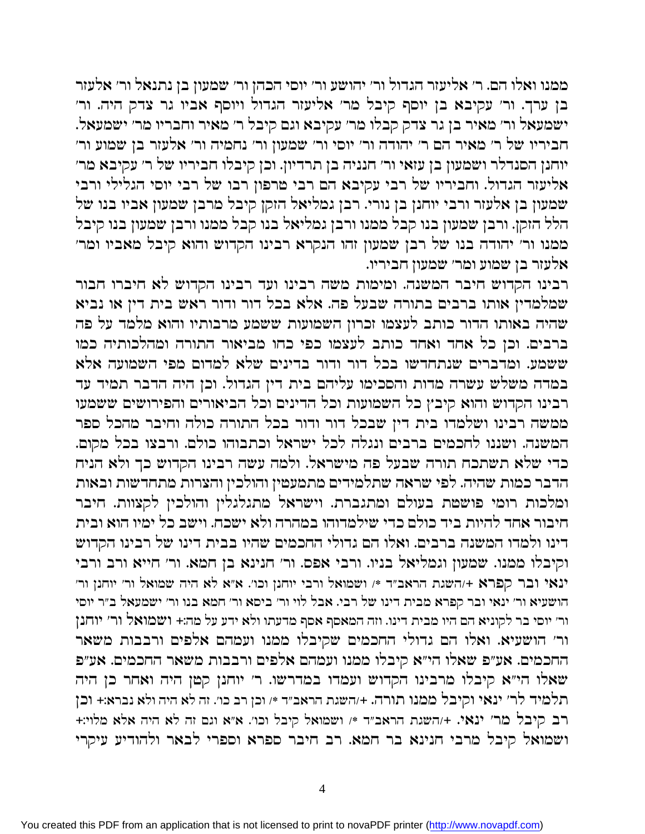ממנו ואלו הם. ר׳ אליעזר הגדול ור׳ יהושע ור׳ יוסי הכהן ור׳ שמעון בן נתנאל ור׳ אלעזר בן ערך. ור׳ עקיבא בן יוסף קיבל מר׳ אליעזר הגדול ויוסף אביו גר צדק היה. ור׳ ישמעאל ור׳ מאיר בן גר צדק קבלו מר׳ עקיבא וגם קיבל ר׳ מאיר וחבריו מר׳ ישמעאל. חביריו של ר׳ מאיר הם ר׳ יהודה ור׳ יוסי ור׳ שמעון ור׳ נחמיה ור׳ אלעזר בן שמוע ור׳ יוחנן הסנדלר ושמעון בן עזאי ור׳ חנניה בן תרדיון. וכן קיבלו חביריו של ר׳ עקיבא מר׳ אליעזר הגדול. וחביריו של רבי עקיבא הם רבי טרפון רבו של רבי יוםי הגלילי ורבי שמעון בן אלעזר ורבי יוחנן בן נורי. רבן גמליאל הזקן קיבל מרבן שמעון אביו בנו של הלל הזקן. ורבן שמעון בנו קבל ממנו ורבן גמליאל בנו קבל ממנו ורבן שמעון בנו קיבל ממנו ור׳ יהודה בנו של רבן שמעון זהו הנקרא רבינו הקדוש והוא קיבל מאביו ומר׳ אלעזר בן שמוע ומר׳ שמעון חביריו.

רבינו הקדוש חיבר המשנה. ומימות משה רבינו ועד רבינו הקדוש לא חיברו חבור שמלמדין אותו ברבים בתורה שבעל פה. אלא בכל דור ודור ראש בית דין או נביא שהיה באותו הדור כותב לעצמו זכרון השמועות ששמע מרבותיו והוא מלמד על פה ברבים. וכן כל אחד ואחד כותב לעצמו כפי כחו מביאור התורה ומהלכותיה כמו ששמע. ומדברים שנתחדשו בכל דור ודור בדינים שלא למדום מפי השמועה אלא במדה משלש עשרה מדות והסכימו עליהם בית דין הגדול. וכן היה הדבר תמיד עד רבינו הקדוש והוא קיבץ כל השמועות וכל הדינים וכל הביאורים והפירושים ששמעו ממשה רבינו ושלמדו בית דין שבכל דור ודור בכל התורה כולה וחיבר מהכל ספר המשנה. ושננו לחכמים ברבים ונגלה לכל ישראל וכתבוהו כולם. ורבצו בכל מקום. כדי שלא תשתכח תורה שבעל פה מישראל. ולמה עשה רבינו הקדוש כך ולא הניח הדבר כמות שהיה. לפי שראה שתלמידים מתמעטין והולכין והצרות מתחדשות ובאות ומלכות רומי פושטת בעולם ומתגברת. וישראל מתגלגלין והולכין לקצוות. חיבר חיבור אחד להיות ביד כולם כדי שילמדוהו במהרה ולא ישכח. וישב כל ימיו הוא ובית דינו ולמדו המשנה ברבים. ואלו הם גדולי החכמים שהיו בבית דינו של רבינו הקדוש וקיבלו ממנו. שמעון וגמליאל בניו. ורבי אפם. ור׳ חנינא בן חמא. ור׳ חייא ורב ורבי ינאי ובר קפרא +/השגת הראב"ד \*/ ושמואל ורבי יוחנן וכו׳. א"א לא היה שמואל ור׳ יוחנן ור׳ הושעיא ור׳ ינאי ובר קפרא מבית דינו של רבי. אבל לוי ור׳ ביסא ור׳ חמא בנו ור׳ ישמעאל ב״ר יוסי ור׳ יוסי בר לקוניא הם היו מבית דינו. וזה המאסף אסף מדעתו ולא ידע על מה:+ ושמואל ור׳ יוחנן ור׳ הושעיא. ואלו הם גדולי החכמים שקיבלו ממנו ועמהם אלפים ורבבות משאר החכמים. אע״פ שאלו הי״א קיבלו ממנו ועמהם אלפים ורבבות משאר החכמים. אע״פ שאלו הי״א קיבלו מרבינו הקדוש ועמדו במדרשו. ר׳ יוחנן קטן היה ואחר כן היה תלמיד לר׳ ינאי וקיבל ממנו תורה. +/השגת הראב״ד \*/ וכן רב כו׳. זה לא היה ולא נברא:+ וכן רב קיבל מר׳ ינאי. +/השנת הראב״ד \*/ ושמואל קיבל וכו׳. א״א וגם זה לא היה אלא מלוי:+ ושמואל קיבל מרבי חנינא בר חמא. רב חיבר ספרא וספרי לבאר ולהודיע עיקרי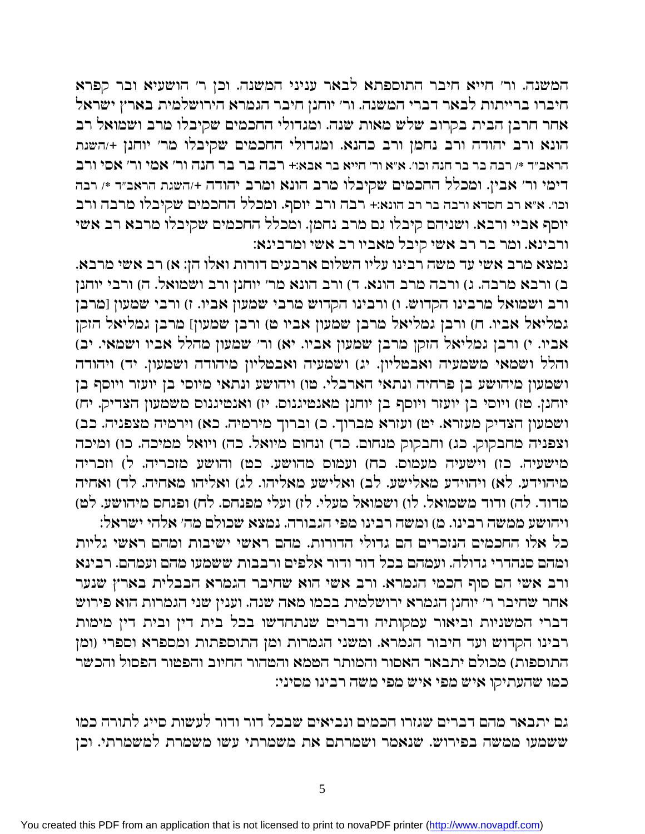המשנה. ור׳ חייא חיבר התוספתא לבאר עניני המשנה. וכן ר׳ הושעיא ובר קפרא חיברו ברייתות לבאר דברי המשנה. ור׳ יוחנן חיבר הגמרא הירושלמית בארץ ישראל אחר חרבן הבית בקרוב שלש מאות שנה. ומגדולי החכמים שקיבלו מרב ושמואל רב הונא ורב יהודה ורב נחמן ורב כהנא. ומגדולי החכמים שקיבלו מר׳ יוחנן +/השגת הראב״ד \*/ רבה בר בר חנה וכו׳. א״א ור׳ חייא בר אבא:+ רבה בר בר חנה ור׳ אמי ור׳ אסי ורב דימי ור׳ אבין. ומכלל החכמים שקיבלו מרב הונא ומרב יהודה +/השגת הראב״ד \*/ רבה וכו׳. א״א רב חסדא ורבה בר רב הונא:+ רבה ורב יוסף. ומכלל החכמים שקיבלו מרבה ורב יוסף אביי ורבא. ושניהם קיבלו גם מרב נחמן. ומכלל החכמים שקיבלו מרבא רב אשי ורבינא. ומר בר רב אשי קיבל מאביו רב אשי ומרבינא:

נמצא מרב אשי עד משה רבינו עליו השלום ארבעים דורות ואלו הן: א) רב אשי מרבא. ב) ורבא מרבה. ג) ורבה מרב הונא. ד) ורב הונא מר׳ יוחנן ורב ושמואל. ה) ורבי יוחנן ורב ושמואל מרבינו הקדוש. ו) ורבינו הקדוש מרבי שמעון אביו. ז) ורבי שמעון [מרבן גמליאל אביו. ה) ורבן גמליאל מרבן שמעון אביו ט) ורבן שמעון] מרבן גמליאל הזקן אביו. י) ורבן גמליאל הזקן מרבן שמעון אביו. יא) ור׳ שמעון מהלל אביו ושמאי. יב) והלל ושמאי משמעיה ואבמליון. יג) ושמעיה ואבמליון מיהודה ושמעון. יד) ויהודה ושמעון מיהושע בן פרחיה ונתאי הארבלי. טו) ויהושע ונתאי מיוסי בן יועזר ויוסף בן יוחנן. מז) ויוסי בן יועזר ויוסף בן יוחנן מאנטיגנוס. יז) ואנטיגנוס משמעון הצדיק. יח) ושמעון הצדיק מעזרא. יט) ועזרא מברוך. כ) וברוך מירמיה. כא) וירמיה מצפניה. כב) וצפניה מחבקוק. כג) וחבקוק מנחום. כד) ונחום מיואל. כה) ויואל ממיכה. כו) ומיכה מישעיה. כז) וישעיה מעמום. כח) ועמום מהושע. כט) והושע מזכריה. ל) וזכריה מיהוידע. לא) ויהוידע מאלישע. לב) ואלישע מאליהו. לג) ואליהו מאחיה. לד) ואחיה מדוד. לה) ודוד משמואל. לו) ושמואל מעלי. לז) ועלי מפנחם. לח) ופנחם מיהושע. למ) ויהושע ממשה רבינו. מ) ומשה רבינו מפי הגבורה. נמצא שכולם מה׳ אלהי ישראל: כל אלו החכמים הנזכרים הם גדולי הדורות. מהם ראשי ישיבות ומהם ראשי גליות ומהם סנהדרי גדולה. ועמהם בכל דור ודור אלפים ורבבות ששמעו מהם ועמהם. רבינא ורב אשי הם סוף חכמי הגמרא. ורב אשי הוא שחיבר הגמרא הבבלית בארץ שנער אחר שחיבר ר׳ יוחנן הגמרא ירושלמית בכמו מאה שנה. וענין שני הגמרות הוא פירוש דברי המשניות וביאור עמקותיה ודברים שנתחדשו בכל בית דין ובית דין מימות רבינו הקדוש ועד חיבור הגמרא. ומשני הגמרות ומן התוספתות ומספרא וספרי (ומן התוספות) מכולם יתבאר האסור והמותר הטמא והטהור החיוב והפטור הפסול והכשר כמו שהעתיקו איש מפי איש מפי משה רבינו מסיני:

גם יתבאר מהם דברים שגזרו חכמים ונביאים שבכל דור ודור לעשות סייג לתורה כמו ששמעו ממשה בפירוש. שנאמר ושמרתם את משמרתי עשו משמרת למשמרתי. וכן

5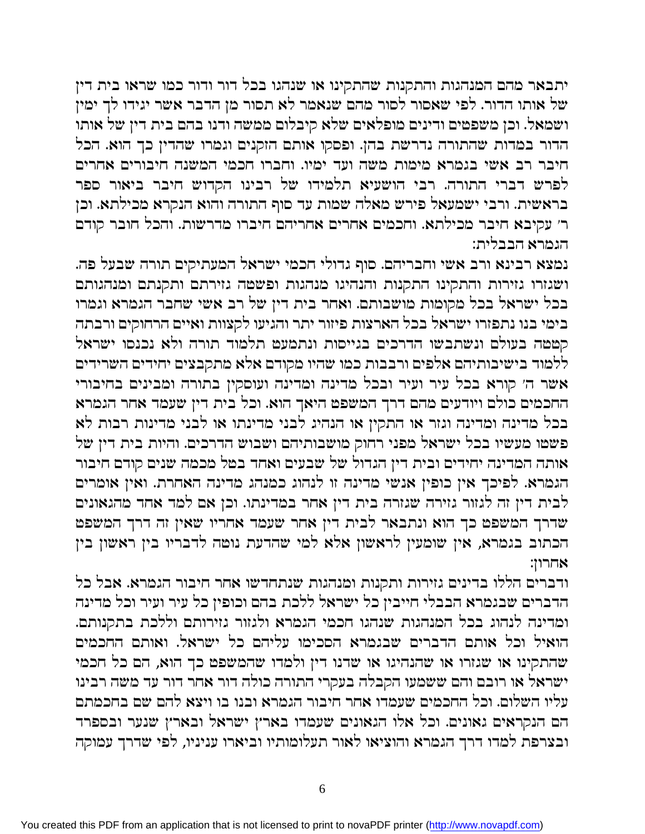יתבאר מהם המנהגות והתקנות שהתקינו או שנהגו בכל דור ודור כמו שראו בית דין של אותו הדור. לפי שאסור לסור מהם שנאמר לא תסור מן הדבר אשר יגידו לך ימין ושמאל. וכן משפטים ודינים מופלאים שלא קיבלום ממשה ודנו בהם בית דין של אותו הדור במדות שהתורה נדרשת בהן. ופסקו אותם הזקנים וגמרו שהדין כך הוא. הכל חיבר רב אשי בגמרא מימות משה ועד ימיו. וחברו חכמי המשנה חיבורים אחרים לפרש דברי התורה. רבי הושעיא תלמידו של רבינו הקדוש חיבר ביאור ספר בראשית. ורבי ישמעאל פירש מאלה שמות עד סוף התורה והוא הנקרא מכילתא. וכן ר' עקיבא חיבר מכילתא. וחכמים אחרים אחריהם חיברו מדרשות. והכל חובר קודם הגמרא הבבלית:

נמצא רבינא ורב אשי וחבריהם. סוף גדולי חכמי ישראל המעתיקים תורה שבעל פה. ושגזרו גזירות והתקינו התקנות והנהיגו מנהגות ופשטה גזירתם ותקנתם ומנהגותם בכל ישראל בכל מקומות מושבותם. ואחר בית דין של רב אשי שחבר הגמרא וגמרו בימי בנו נתפזרו ישראל בכל הארצות פיזור יתר והגיעו לקצוות ואיים הרחוקים ורבתה קטטה בעולם ונשתבשו הדרכים בגייסות ונתמעט תלמוד תורה ולא נכנסו ישראל ללמוד בישיבותיהם אלפים ורבבות כמו שהיו מקודם אלא מתקבצים יחידים השרידים אשר ה׳ קורא בכל עיר ועיר ובכל מדינה ומדינה ועוסקין בתורה ומבינים בחיבורי החכמים כולם ויודעים מהם דרך המשפט היאך הוא. וכל בית דין שעמד אחר הגמרא בכל מדינה ומדינה וגזר או התקין או הנהיג לבני מדינתו או לבני מדינות רבות לא פשטו מעשיו בכל ישראל מפני רחוק מושבותיהם ושבוש הדרכים. והיות בית דין של אותה המדינה יחידים ובית דין הגדול של שבעים ואחד בטל מכמה שנים קודם חיבור הגמרא. לפיכך אין כופין אנשי מדינה זו לנהוג כמנהג מדינה האחרת. ואין אומרים לבית דין זה לגזור גזירה שגזרה בית דין אחר במדינתו. וכן אם למד אחד מהגאונים שדרך המשפט כך הוא ונתבאר לבית דין אחר שעמד אחריו שאין זה דרך המשפט הכתוב בגמרא, אין שומעין לראשון אלא למי שהדעת נוטה לדבריו בין ראשון בין אחרון:

ודברים הללו בדינים גזירות ותקנות ומנהגות שנתחדשו אחר חיבור הגמרא. אבל כל הדברים שבגמרא הבבלי חייבין כל ישראל ללכת בהם וכופין כל עיר ועיר וכל מדינה ומדינה לנהוג בכל המנהגות שנהגו חכמי הגמרא ולגזור גזירותם וללכת בתקנותם. הואיל וכל אותם הדברים שבגמרא הסכימו עליהם כל ישראל. ואותם החכמים שהתקינו או שגזרו או שהנהיגו או שדנו דין ולמדו שהמשפט כך הוא, הם כל חכמי ישראל או רובם והם ששמעו הקבלה בעקרי התורה כולה דור אחר דור עד משה רבינו עליו השלום. וכל החכמים שעמדו אחר חיבור הגמרא ובנו בו ויצא להם שם בחכמתם הם הנקראים גאונים. וכל אלו הגאונים שעמדו בארץ ישראל ובארץ שנער ובספרד ובצרפת למדו דרך הגמרא והוציאו לאור תעלומותיו וביארו עניניו, לפי שדרך עמוקה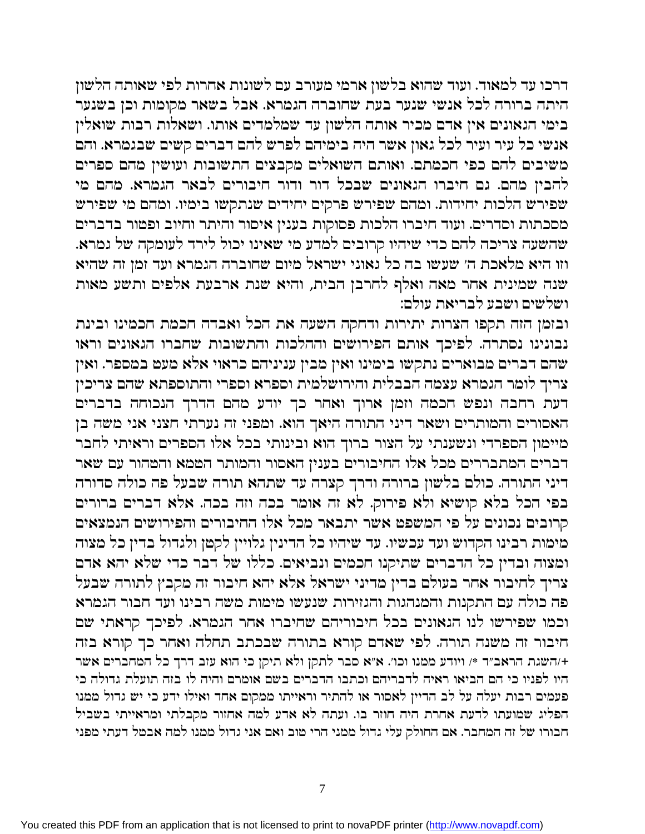דרכו עד למאוד. ועוד שהוא בלשון ארמי מעורב עם לשונות אחרות לפי שאותה הלשון היתה ברורה לכל אנשי שנער בעת שחוברה הגמרא. אבל בשאר מקומות וכן בשנער בימי הגאונים אין אדם מכיר אותה הלשון עד שמלמדים אותו. ושאלות רבות שואלין אנשי כל עיר ועיר לכל גאון אשר היה בימיהם לפרש להם דברים קשים שבגמרא. והם משיבים להם כפי חכמתם. ואותם השואלים מקבצים התשובות ועושין מהם ספרים להבין מהם. גם חיברו הגאונים שבכל דור ודור חיבורים לבאר הגמרא. מהם מי שפירש הלכות יחידות. ומהם שפירש פרקים יחידים שנתקשו בימיו. ומהם מי שפירש מסכתות וסדרים. ועוד חיברו הלכות פסוקות בענין איסור והיתר וחיוב ופטור בדברים שהשעה צריכה להם כדי שיהיו קרובים למדע מי שאינו יכול לירד לעומקה של גמרא. וזו היא מלאכת ה׳ שעשו בה כל גאוני ישראל מיום שחוברה הגמרא ועד זמן זה שהיא שנה שמינית אחר מאה ואלף לחרבן הבית, והיא שנת ארבעת אלפים ותשע מאות ושלשים ושבע לבריאת עולם:

ובזמן הזה תקפו הצרות יתירות ודחקה השעה את הכל ואבדה חכמת חכמינו ובינת נבונינו נסתרה. לפיכך אותם הפירושים וההלכות והתשובות שחברו הגאונים וראו שהם דברים מבוארים נתקשו בימינו ואין מבין עניניהם כראוי אלא מעט במספר. ואין צריך לומר הגמרא עצמה הבבלית והירושלמית וספרא וספרי והתוספתא שהם צריכין דעת רחבה ונפש חכמה וזמן ארוך ואחר כך יודע מהם הדרך הנכוחה בדברים האסורים והמותרים ושאר דיני התורה היאך הוא. ומפני זה נערתי חצני אני משה בן מיימון הספרדי ונשענתי על הצור ברוך הוא ובינותי בכל אלו הספרים וראיתי לחבר דברים המתבררים מכל אלו החיבורים בענין האסור והמותר הטמא והטהור עם שאר דיני התורה. כולם בלשון ברורה ודרך קצרה עד שתהא תורה שבעל פה כולה סדורה בפי הכל בלא קושיא ולא פירוק. לא זה אומר בכה וזה בכה. אלא דברים ברורים קרובים נכונים על פי המשפט אשר יתבאר מכל אלו החיבורים והפירושים הנמצאים .<br>מימות רבינו הקדוש ועד עכשיו. עד שיהיו כל הדינין גלויין לקטן ולגדול בדין כל מצוה ומצוה ובדין כל הדברים שתיקנו חכמים ונביאים. כללו של דבר כדי שלא יהא אדם צריך לחיבור אחר בעולם בדין מדיני ישראל אלא יהא חיבור זה מקבץ לתורה שבעל פה כולה עם התקנות והמנהגות והגזירות שנעשו מימות משה רבינו ועד חבור הגמרא וכמו שפירשו לנו הגאונים בכל חיבוריהם שחיברו אחר הגמרא. לפיכך קראתי שם חיבור זה משנה תורה. לפי שאדם קורא בתורה שבכתב תחלה ואחר כך קורא בזה +/השגת הראב״ד \*/ ויודע ממנו וכו׳. א״א סבר לתקן ולא תיקן כי הוא עזב דרך כל המחברים אשר היו לפניו כי הם הביאו ראיה לדבריהם וכתבו הדברים בשם אומרם והיה לו בזה תועלת גדולה כי פעמים רבות יעלה על לב הדיין לאסור או להתיר וראייתו ממקום אחד ואילו ידע כי יש גדול ממנו הפליג שמועתו לדעת אחרת היה חוזר בו. ועתה לא אדע למה אחזור מקבלתי ומראייתי בשביל חבורו של זה המחבר. אם החולק עלי גדול ממני הרי טוב ואם אני גדול ממנו למה אבטל דעתי מפני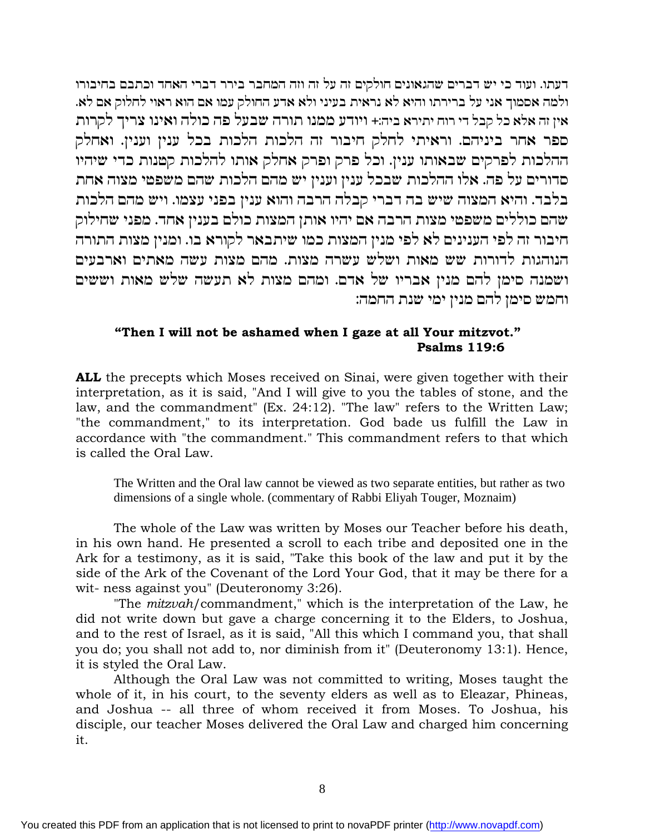דעתו. ועוד כי יש דברים שהגאונים חולקים זה על זה וזה המחבר בירר דברי האחד וכתבם בחיבורו ולמה אסמוך אני על ברירתו והיא לא נראית בעיני ולא אדע החולק עמו אם הוא ראוי לחלוק אם לא. אין זה אלא כל קבל די רוח יתירא ביה:+ ויודע ממנו תורה שבעל פה כולה ואינו צריך לקרות ספר אחר ביניהם. וראיתי לחלק חיבור זה הלכות הלכות בכל ענין וענין. ואחלק ההלכות לפרקים שבאותו ענין. וכל פרק ופרק אחלק אותו להלכות קטנות כדי שיהיו סדורים על פה. אלו ההלכות שבכל ענין וענין יש מהם הלכות שהם משפטי מצוה אחת בלבד. והיא המצוה שיש בה דברי קבלה הרבה והוא ענין בפני עצמו. ויש מהם הלכות שהם כוללים משפטי מצות הרבה אם יהיו אותן המצות כולם בענין אחד. מפני שחילוק חיבור זה לפי הענינים לא לפי מנין המצות כמו שיתבאר לקורא בו. ומנין מצות התורה הנוהגות לדורות שש מאות ושלש עשרה מצות. מהם מצות עשה מאתים וארבעים ושמנה סימן להם מנין אבריו של אדם. ומהם מצות לא תעשה שלש מאות וששים וחמש סימן להם מנין ימי שנת החמה:

## "Then I will not be ashamed when I gaze at all Your mitzvot." **Psalms 119:6**

**ALL** the precepts which Moses received on Sinai, were given together with their interpretation, as it is said, "And I will give to you the tables of stone, and the law, and the commandment" (Ex. 24:12). "The law" refers to the Written Law; "the commandment," to its interpretation. God bade us fulfill the Law in accordance with "the commandment." This commandment refers to that which is called the Oral Law.

The Written and the Oral law cannot be viewed as two separate entities, but rather as two dimensions of a single whole. (commentary of Rabbi Eliyah Touger, Moznaim)

The whole of the Law was written by Moses our Teacher before his death, in his own hand. He presented a scroll to each tribe and deposited one in the Ark for a testimony, as it is said, "Take this book of the law and put it by the side of the Ark of the Covenant of the Lord Your God, that it may be there for a wit- ness against you" (Deuteronomy 3:26).

"The mitzvah/commandment," which is the interpretation of the Law, he did not write down but gave a charge concerning it to the Elders, to Joshua, and to the rest of Israel, as it is said, "All this which I command you, that shall you do; you shall not add to, nor diminish from it" (Deuteronomy 13:1). Hence, it is styled the Oral Law.

Although the Oral Law was not committed to writing, Moses taught the whole of it, in his court, to the seventy elders as well as to Eleazar, Phineas, and Joshua -- all three of whom received it from Moses. To Joshua, his disciple, our teacher Moses delivered the Oral Law and charged him concerning it.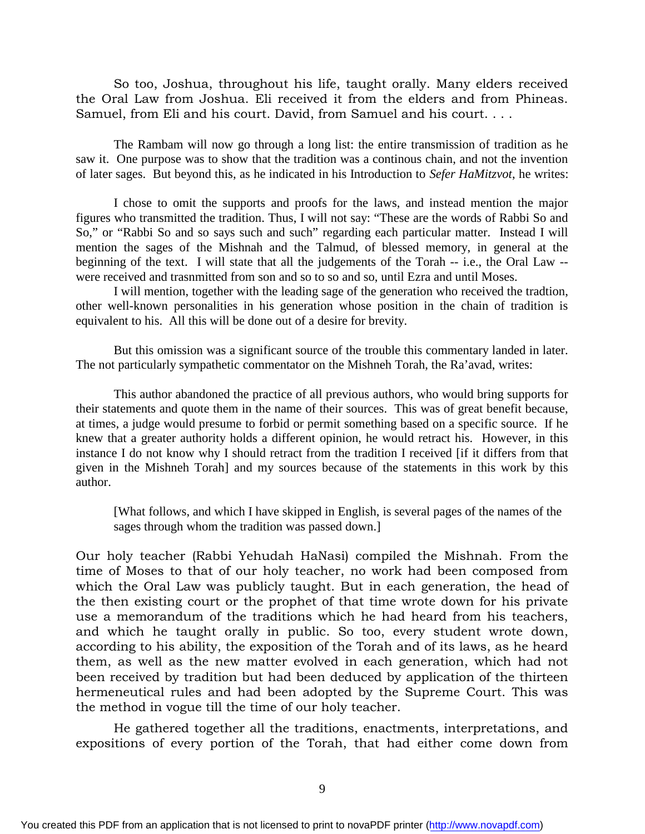So too, Joshua, throughout his life, taught orally. Many elders received the Oral Law from Joshua. Eli received it from the elders and from Phineas. Samuel, from Eli and his court. David, from Samuel and his court. . . .

The Rambam will now go through a long list: the entire transmission of tradition as he saw it. One purpose was to show that the tradition was a continous chain, and not the invention of later sages. But beyond this, as he indicated in his Introduction to *Sefer HaMitzvot*, he writes:

I chose to omit the supports and proofs for the laws, and instead mention the major figures who transmitted the tradition. Thus, I will not say: "These are the words of Rabbi So and So," or "Rabbi So and so says such and such" regarding each particular matter. Instead I will mention the sages of the Mishnah and the Talmud, of blessed memory, in general at the beginning of the text. I will state that all the judgements of the Torah -- i.e., the Oral Law - were received and trasnmitted from son and so to so and so, until Ezra and until Moses.

I will mention, together with the leading sage of the generation who received the tradtion, other well-known personalities in his generation whose position in the chain of tradition is equivalent to his. All this will be done out of a desire for brevity.

But this omission was a significant source of the trouble this commentary landed in later. The not particularly sympathetic commentator on the Mishneh Torah, the Ra'avad, writes:

This author abandoned the practice of all previous authors, who would bring supports for their statements and quote them in the name of their sources. This was of great benefit because, at times, a judge would presume to forbid or permit something based on a specific source. If he knew that a greater authority holds a different opinion, he would retract his. However, in this instance I do not know why I should retract from the tradition I received [if it differs from that given in the Mishneh Torah] and my sources because of the statements in this work by this author.

[What follows, and which I have skipped in English, is several pages of the names of the sages through whom the tradition was passed down.]

Our holy teacher (Rabbi Yehudah HaNasi) compiled the Mishnah. From the time of Moses to that of our holy teacher, no work had been composed from which the Oral Law was publicly taught. But in each generation, the head of the then existing court or the prophet of that time wrote down for his private use a memorandum of the traditions which he had heard from his teachers, and which he taught orally in public. So too, every student wrote down, according to his ability, the exposition of the Torah and of its laws, as he heard them, as well as the new matter evolved in each generation, which had not been received by tradition but had been deduced by application of the thirteen hermeneutical rules and had been adopted by the Supreme Court. This was the method in vogue till the time of our holy teacher.

He gathered together all the traditions, enactments, interpretations, and expositions of every portion of the Torah, that had either come down from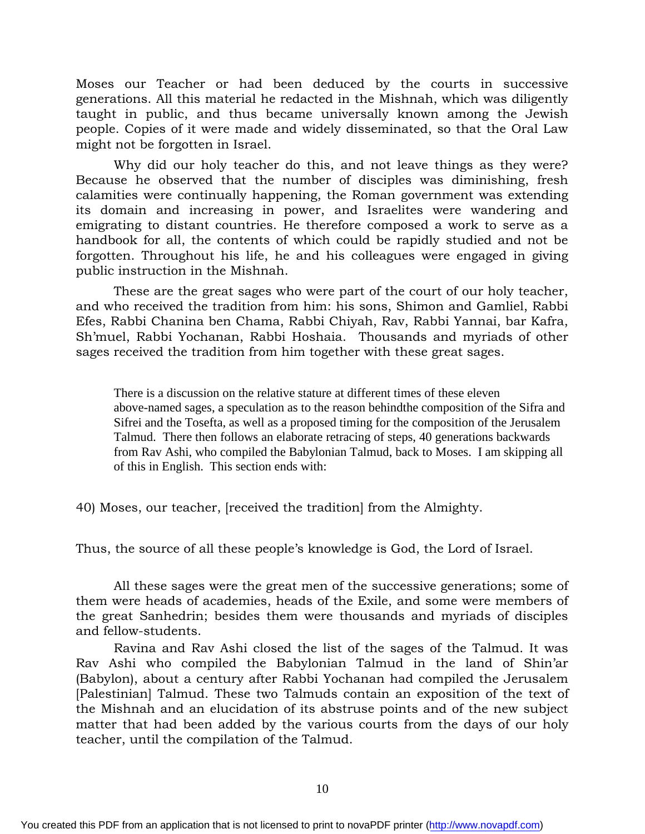Moses our Teacher or had been deduced by the courts in successive generations. All this material he redacted in the Mishnah, which was diligently taught in public, and thus became universally known among the Jewish people. Copies of it were made and widely disseminated, so that the Oral Law might not be forgotten in Israel.

Why did our holy teacher do this, and not leave things as they were? Because he observed that the number of disciples was diminishing, fresh calamities were continually happening, the Roman government was extending its domain and increasing in power, and Israelites were wandering and emigrating to distant countries. He therefore composed a work to serve as a handbook for all, the contents of which could be rapidly studied and not be forgotten. Throughout his life, he and his colleagues were engaged in giving public instruction in the Mishnah.

These are the great sages who were part of the court of our holy teacher, and who received the tradition from him: his sons, Shimon and Gamliel, Rabbi Efes, Rabbi Chanina ben Chama, Rabbi Chiyah, Rav, Rabbi Yannai, bar Kafra, Sh'muel, Rabbi Yochanan, Rabbi Hoshaia. Thousands and myriads of other sages received the tradition from him together with these great sages.

There is a discussion on the relative stature at different times of these eleven above-named sages, a speculation as to the reason behindthe composition of the Sifra and Sifrei and the Tosefta, as well as a proposed timing for the composition of the Jerusalem Talmud. There then follows an elaborate retracing of steps, 40 generations backwards from Rav Ashi, who compiled the Babylonian Talmud, back to Moses. I am skipping all of this in English. This section ends with:

40) Moses, our teacher, [received the tradition] from the Almighty.

Thus, the source of all these people's knowledge is God, the Lord of Israel.

All these sages were the great men of the successive generations; some of them were heads of academies, heads of the Exile, and some were members of the great Sanhedrin; besides them were thousands and myriads of disciples and fellow-students.

Ravina and Rav Ashi closed the list of the sages of the Talmud. It was Rav Ashi who compiled the Babylonian Talmud in the land of Shin'ar (Babylon), about a century after Rabbi Yochanan had compiled the Jerusalem [Palestinian] Talmud. These two Talmuds contain an exposition of the text of the Mishnah and an elucidation of its abstruse points and of the new subject matter that had been added by the various courts from the days of our holy teacher, until the compilation of the Talmud.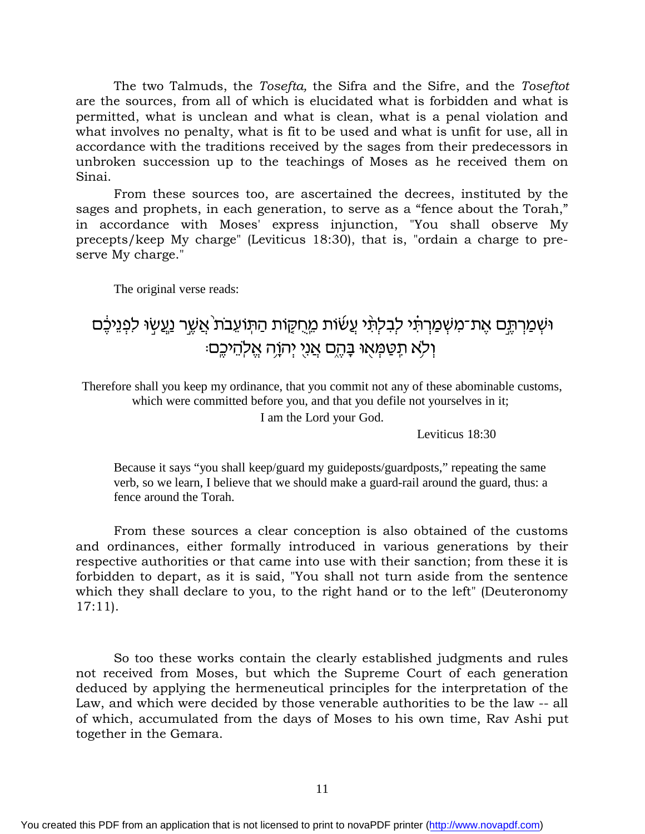The two Talmuds, the *Tosefta,* the Sifra and the Sifre, and the *Toseftot* are the sources, from all of which is elucidated what is forbidden and what is permitted, what is unclean and what is clean, what is a penal violation and what involves no penalty, what is fit to be used and what is unfit for use, all in accordance with the traditions received by the sages from their predecessors in unbroken succession up to the teachings of Moses as he received them on Sinai.

From these sources too, are ascertained the decrees, instituted by the sages and prophets, in each generation, to serve as a "fence about the Torah," in accordance with Moses' express injunction, "You shall observe My precepts/keep My charge" (Leviticus 18:30), that is, "ordain a charge to preserve My charge."

The original verse reads:

# וּשְׁמַרְתֶּם אֶת־מִשְׁמַרְתָּי לְבִלְתִּי עֲשׁוֹת מֵחֻקָּוֹת הַתְּוֹעֵבֹת<sup>י</sup> אֲשֶׁר נַעֲשְׂוּ לִפְנֵיכֶּם ולא תְטַמְּאִוּ בָּהֶם אֲנִי יְהוֹה אֱלְהֵיכֶם.

Therefore shall you keep my ordinance, that you commit not any of these abominable customs, which were committed before you, and that you defile not yourselves in it; I am the Lord your God.

Leviticus 18:30

Because it says "you shall keep/guard my guideposts/guardposts," repeating the same verb, so we learn, I believe that we should make a guard-rail around the guard, thus: a fence around the Torah.

From these sources a clear conception is also obtained of the customs and ordinances, either formally introduced in various generations by their respective authorities or that came into use with their sanction; from these it is forbidden to depart, as it is said, "You shall not turn aside from the sentence which they shall declare to you, to the right hand or to the left" (Deuteronomy 17:11).

So too these works contain the clearly established judgments and rules not received from Moses, but which the Supreme Court of each generation deduced by applying the hermeneutical principles for the interpretation of the Law, and which were decided by those venerable authorities to be the law -- all of which, accumulated from the days of Moses to his own time, Rav Ashi put together in the Gemara.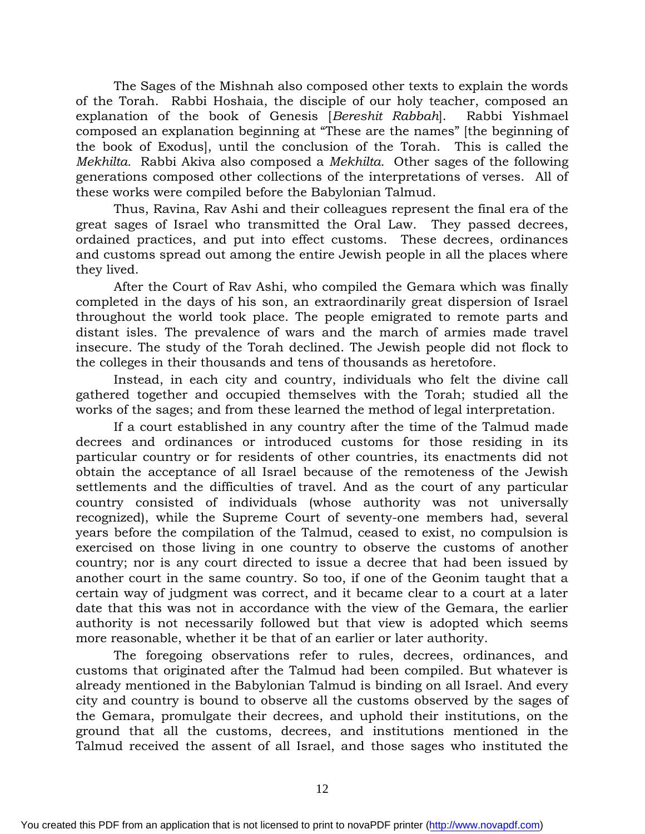The Sages of the Mishnah also composed other texts to explain the words of the Torah. Rabbi Hoshaia, the disciple of our holy teacher, composed an explanation of the book of Genesis [*Bereshit Rabbah*]. Rabbi Yishmael composed an explanation beginning at "These are the names" [the beginning of the book of Exodus], until the conclusion of the Torah. This is called the *Mekhilta.* Rabbi Akiva also composed a *Mekhilta.* Other sages of the following generations composed other collections of the interpretations of verses. All of these works were compiled before the Babylonian Talmud.

Thus, Ravina, Rav Ashi and their colleagues represent the final era of the great sages of Israel who transmitted the Oral Law. They passed decrees, ordained practices, and put into effect customs. These decrees, ordinances and customs spread out among the entire Jewish people in all the places where they lived.

After the Court of Rav Ashi, who compiled the Gemara which was finally completed in the days of his son, an extraordinarily great dispersion of Israel throughout the world took place. The people emigrated to remote parts and distant isles. The prevalence of wars and the march of armies made travel insecure. The study of the Torah declined. The Jewish people did not flock to the colleges in their thousands and tens of thousands as heretofore.

Instead, in each city and country, individuals who felt the divine call gathered together and occupied themselves with the Torah; studied all the works of the sages; and from these learned the method of legal interpretation.

If a court established in any country after the time of the Talmud made decrees and ordinances or introduced customs for those residing in its particular country or for residents of other countries, its enactments did not obtain the acceptance of all Israel because of the remoteness of the Jewish settlements and the difficulties of travel. And as the court of any particular country consisted of individuals (whose authority was not universally recognized), while the Supreme Court of seventy-one members had, several years before the compilation of the Talmud, ceased to exist, no compulsion is exercised on those living in one country to observe the customs of another country; nor is any court directed to issue a decree that had been issued by another court in the same country. So too, if one of the Geonim taught that a certain way of judgment was correct, and it became clear to a court at a later date that this was not in accordance with the view of the Gemara, the earlier authority is not necessarily followed but that view is adopted which seems more reasonable, whether it be that of an earlier or later authority.

The foregoing observations refer to rules, decrees, ordinances, and customs that originated after the Talmud had been compiled. But whatever is already mentioned in the Babylonian Talmud is binding on all Israel. And every city and country is bound to observe all the customs observed by the sages of the Gemara, promulgate their decrees, and uphold their institutions, on the ground that all the customs, decrees, and institutions mentioned in the Talmud received the assent of all Israel, and those sages who instituted the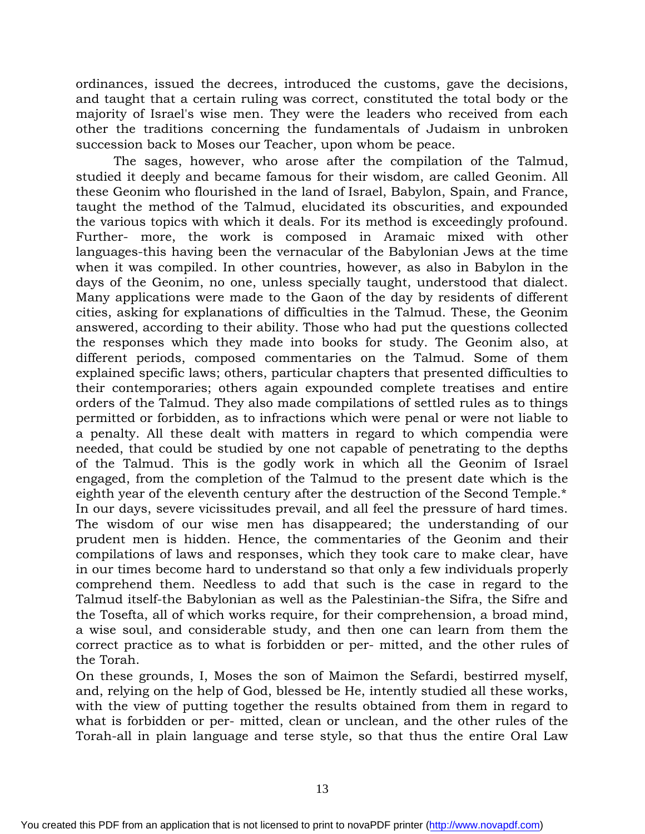ordinances, issued the decrees, introduced the customs, gave the decisions, and taught that a certain ruling was correct, constituted the total body or the majority of Israel's wise men. They were the leaders who received from each other the traditions concerning the fundamentals of Judaism in unbroken succession back to Moses our Teacher, upon whom be peace.

The sages, however, who arose after the compilation of the Talmud, studied it deeply and became famous for their wisdom, are called Geonim. All these Geonim who flourished in the land of Israel, Babylon, Spain, and France, taught the method of the Talmud, elucidated its obscurities, and expounded the various topics with which it deals. For its method is exceedingly profound. Further- more, the work is composed in Aramaic mixed with other languages-this having been the vernacular of the Babylonian Jews at the time when it was compiled. In other countries, however, as also in Babylon in the days of the Geonim, no one, unless specially taught, understood that dialect. Many applications were made to the Gaon of the day by residents of different cities, asking for explanations of difficulties in the Talmud. These, the Geonim answered, according to their ability. Those who had put the questions collected the responses which they made into books for study. The Geonim also, at different periods, composed commentaries on the Talmud. Some of them explained specific laws; others, particular chapters that presented difficulties to their contemporaries; others again expounded complete treatises and entire orders of the Talmud. They also made compilations of settled rules as to things permitted or forbidden, as to infractions which were penal or were not liable to a penalty. All these dealt with matters in regard to which compendia were needed, that could be studied by one not capable of penetrating to the depths of the Talmud. This is the godly work in which all the Geonim of Israel engaged, from the completion of the Talmud to the present date which is the eighth year of the eleventh century after the destruction of the Second Temple.\* In our days, severe vicissitudes prevail, and all feel the pressure of hard times. The wisdom of our wise men has disappeared; the understanding of our prudent men is hidden. Hence, the commentaries of the Geonim and their compilations of laws and responses, which they took care to make clear, have in our times become hard to understand so that only a few individuals properly comprehend them. Needless to add that such is the case in regard to the Talmud itself-the Babylonian as well as the Palestinian-the Sifra, the Sifre and the Tosefta, all of which works require, for their comprehension, a broad mind, a wise soul, and considerable study, and then one can learn from them the correct practice as to what is forbidden or per- mitted, and the other rules of the Torah.

On these grounds, I, Moses the son of Maimon the Sefardi, bestirred myself, and, relying on the help of God, blessed be He, intently studied all these works, with the view of putting together the results obtained from them in regard to what is forbidden or per- mitted, clean or unclean, and the other rules of the Torah-all in plain language and terse style, so that thus the entire Oral Law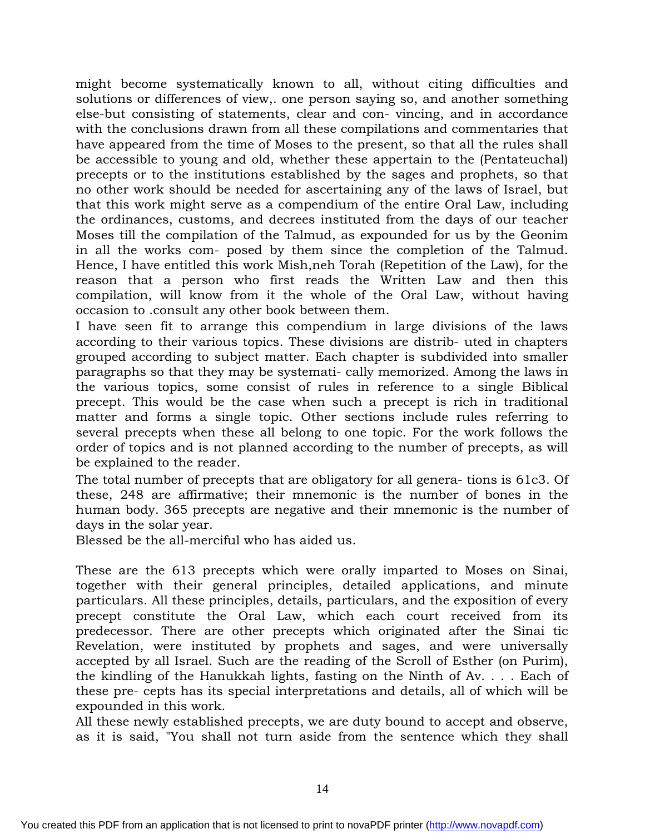might become systematically known to all, without citing difficulties and solutions or differences of view,. one person saying so, and another something else-but consisting of statements, clear and con- vincing, and in accordance with the conclusions drawn from all these compilations and commentaries that have appeared from the time of Moses to the present, so that all the rules shall be accessible to young and old, whether these appertain to the (Pentateuchal) precepts or to the institutions established by the sages and prophets, so that no other work should be needed for ascertaining any of the laws of Israel, but that this work might serve as a compendium of the entire Oral Law, including the ordinances, customs, and decrees instituted from the days of our teacher Moses till the compilation of the Talmud, as expounded for us by the Geonim in all the works com- posed by them since the completion of the Talmud. Hence, I have entitled this work Mish,neh Torah (Repetition of the Law), for the reason that a person who first reads the Written Law and then this compilation, will know from it the whole of the Oral Law, without having occasion to .consult any other book between them.

I have seen fit to arrange this compendium in large divisions of the laws according to their various topics. These divisions are distrib- uted in chapters grouped according to subject matter. Each chapter is subdivided into smaller paragraphs so that they may be systemati- cally memorized. Among the laws in the various topics, some consist of rules in reference to a single Biblical precept. This would be the case when such a precept is rich in traditional matter and forms a single topic. Other sections include rules referring to several precepts when these all belong to one topic. For the work follows the order of topics and is not planned according to the number of precepts, as will be explained to the reader.

The total number of precepts that are obligatory for all genera- tions is 61c3. Of these, 248 are affirmative; their mnemonic is the number of bones in the human body. 365 precepts are negative and their mnemonic is the number of days in the solar year.

Blessed be the all-merciful who has aided us.

These are the 613 precepts which were orally imparted to Moses on Sinai, together with their general principles, detailed applications, and minute particulars. All these principles, details, particulars, and the exposition of every precept constitute the Oral Law, which each court received from its predecessor. There are other precepts which originated after the Sinai tic Revelation, were instituted by prophets and sages, and were universally accepted by all Israel. Such are the reading of the Scroll of Esther (on Purim), the kindling of the Hanukkah lights, fasting on the Ninth of Av. . . . Each of these pre- cepts has its special interpretations and details, all of which will be expounded in this work.

All these newly established precepts, we are duty bound to accept and observe, as it is said, "You shall not turn aside from the sentence which they shall